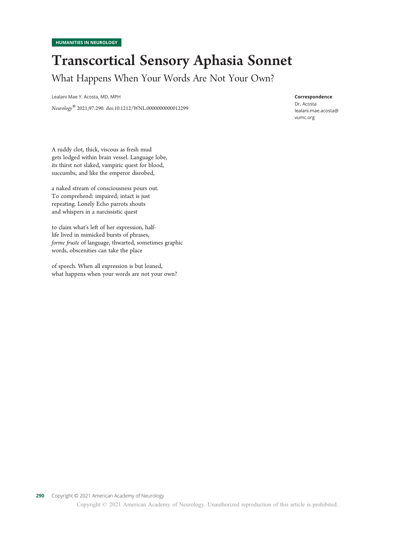## Transcortical Sensory Aphasia Sonnet What Happens When Your Words Are Not Your Own?

Lealani Mae Y. Acosta, MD, MPH

Neurology® 2021;97:290. doi:10.1212/WNL.0000000000012299

#### Correspondence

Dr. Acosta<br>lealani.mae.acosta@ [lealani.mae.acosta@](mailto:lealani.mae.acosta@vumc.org) vumc.org

A ruddy clot, thick, viscous as fresh mud gets lodged within brain vessel. Language lobe, its thirst not slaked, vampiric quest for blood, succumbs, and like the emperor disrobed,

a naked stream of consciousness pours out. To comprehend: impaired; intact is just repeating. Lonely Echo parrots shouts and whispers in a narcissistic quest

to claim what's left of her expression, halflife lived in mimicked bursts of phrases, forme fruste of language, thwarted, sometimes graphic words, obscenities can take the place

of speech. When all expression is but loaned, what happens when your words are not your own?

Copyright © 2021 American Academy of Neurology. Unauthorized reproduction of this article is prohibited.